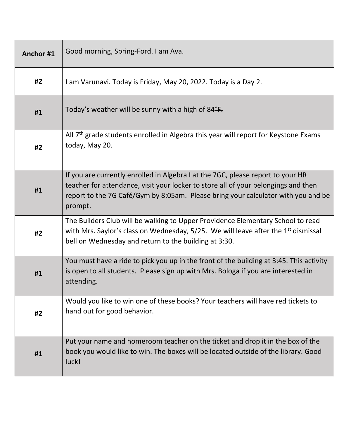| Anchor#1 | Good morning, Spring-Ford. I am Ava.                                                                                                                                                                                                                                  |
|----------|-----------------------------------------------------------------------------------------------------------------------------------------------------------------------------------------------------------------------------------------------------------------------|
| #2       | I am Varunavi. Today is Friday, May 20, 2022. Today is a Day 2.                                                                                                                                                                                                       |
| #1       | Today's weather will be sunny with a high of $84^{\circ}$ F.                                                                                                                                                                                                          |
| #2       | All $7th$ grade students enrolled in Algebra this year will report for Keystone Exams<br>today, May 20.                                                                                                                                                               |
| #1       | If you are currently enrolled in Algebra I at the 7GC, please report to your HR<br>teacher for attendance, visit your locker to store all of your belongings and then<br>report to the 7G Café/Gym by 8:05am. Please bring your calculator with you and be<br>prompt. |
| #2       | The Builders Club will be walking to Upper Providence Elementary School to read<br>with Mrs. Saylor's class on Wednesday, $5/25$ . We will leave after the 1 <sup>st</sup> dismissal<br>bell on Wednesday and return to the building at 3:30.                         |
| #1       | You must have a ride to pick you up in the front of the building at 3:45. This activity<br>is open to all students. Please sign up with Mrs. Bologa if you are interested in<br>attending.                                                                            |
| #2       | Would you like to win one of these books? Your teachers will have red tickets to<br>hand out for good behavior.                                                                                                                                                       |
| #1       | Put your name and homeroom teacher on the ticket and drop it in the box of the<br>book you would like to win. The boxes will be located outside of the library. Good<br>luck!                                                                                         |